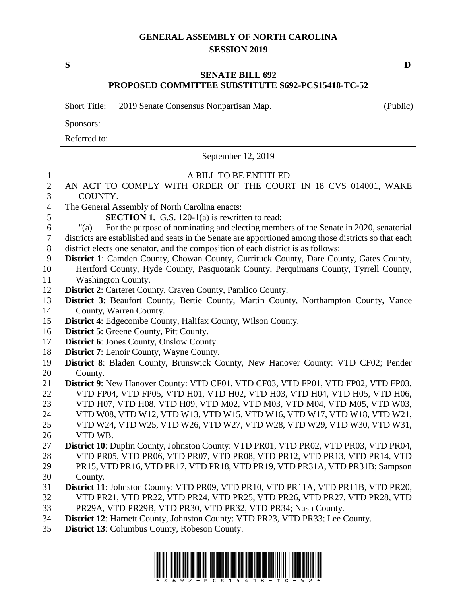## **GENERAL ASSEMBLY OF NORTH CAROLINA SESSION 2019**

**S D**

## **SENATE BILL 692 PROPOSED COMMITTEE SUBSTITUTE S692-PCS15418-TC-52**

Short Title: 2019 Senate Consensus Nonpartisan Map. (Public)

Sponsors:

Referred to:

September 12, 2019

| $\mathbf{1}$     | A BILL TO BE ENTITLED                                                                                |
|------------------|------------------------------------------------------------------------------------------------------|
| $\overline{2}$   | AN ACT TO COMPLY WITH ORDER OF THE COURT IN 18 CVS 014001, WAKE                                      |
| 3                | COUNTY.                                                                                              |
| $\overline{4}$   | The General Assembly of North Carolina enacts:                                                       |
| 5                | <b>SECTION 1.</b> G.S. 120-1(a) is rewritten to read:                                                |
| $\sqrt{6}$       | For the purpose of nominating and electing members of the Senate in 2020, senatorial<br>"(a)         |
| $\boldsymbol{7}$ | districts are established and seats in the Senate are apportioned among those districts so that each |
| $\,8\,$          | district elects one senator, and the composition of each district is as follows:                     |
| 9                | District 1: Camden County, Chowan County, Currituck County, Dare County, Gates County,               |
| 10               | Hertford County, Hyde County, Pasquotank County, Perquimans County, Tyrrell County,                  |
| 11               | <b>Washington County.</b>                                                                            |
| 12               | District 2: Carteret County, Craven County, Pamlico County.                                          |
| 13               | District 3: Beaufort County, Bertie County, Martin County, Northampton County, Vance                 |
| 14               | County, Warren County.                                                                               |
| 15               | <b>District 4:</b> Edgecombe County, Halifax County, Wilson County.                                  |
| 16               | <b>District 5: Greene County, Pitt County.</b>                                                       |
| 17               | District 6: Jones County, Onslow County.                                                             |
| 18               | <b>District 7:</b> Lenoir County, Wayne County.                                                      |
| 19               | District 8: Bladen County, Brunswick County, New Hanover County: VTD CF02; Pender                    |
| 20               | County.                                                                                              |
| 21               | District 9: New Hanover County: VTD CF01, VTD CF03, VTD FP01, VTD FP02, VTD FP03,                    |
| 22               | VTD FP04, VTD FP05, VTD H01, VTD H02, VTD H03, VTD H04, VTD H05, VTD H06,                            |
| 23               | VTD H07, VTD H08, VTD H09, VTD M02, VTD M03, VTD M04, VTD M05, VTD W03,                              |
| 24               | VTD W08, VTD W12, VTD W13, VTD W15, VTD W16, VTD W17, VTD W18, VTD W21,                              |
| 25               | VTD W24, VTD W25, VTD W26, VTD W27, VTD W28, VTD W29, VTD W30, VTD W31,                              |
| 26               | VTD WB.                                                                                              |
| 27               | District 10: Duplin County, Johnston County: VTD PR01, VTD PR02, VTD PR03, VTD PR04,                 |
| 28               | VTD PR05, VTD PR06, VTD PR07, VTD PR08, VTD PR12, VTD PR13, VTD PR14, VTD                            |
| 29               | PR15, VTD PR16, VTD PR17, VTD PR18, VTD PR19, VTD PR31A, VTD PR31B; Sampson                          |
| 30               | County.                                                                                              |
| 31               | District 11: Johnston County: VTD PR09, VTD PR10, VTD PR11A, VTD PR11B, VTD PR20,                    |
| 32               | VTD PR21, VTD PR22, VTD PR24, VTD PR25, VTD PR26, VTD PR27, VTD PR28, VTD                            |
| 33               | PR29A, VTD PR29B, VTD PR30, VTD PR32, VTD PR34; Nash County.                                         |
| 34               | District 12: Harnett County, Johnston County: VTD PR23, VTD PR33; Lee County.                        |
| 35               | District 13: Columbus County, Robeson County.                                                        |

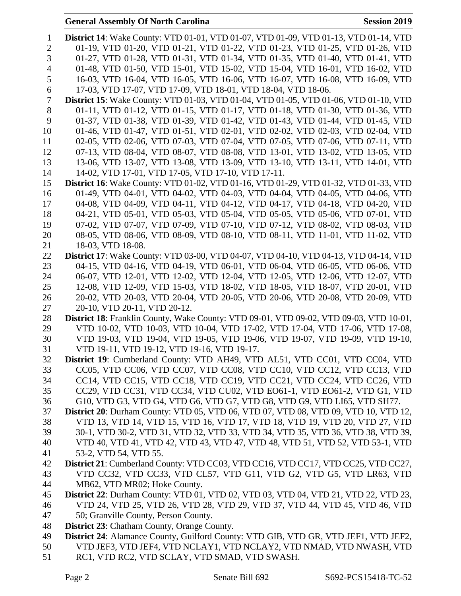## **General Assembly Of North Carolina Session 2019**

| 1              | <b>District 14:</b> Wake County: VTD 01-01, VTD 01-07, VTD 01-09, VTD 01-13, VTD 01-14, VTD                                |
|----------------|----------------------------------------------------------------------------------------------------------------------------|
| $\overline{2}$ | 01-19, VTD 01-20, VTD 01-21, VTD 01-22, VTD 01-23, VTD 01-25, VTD 01-26, VTD                                               |
| 3              | 01-27, VTD 01-28, VTD 01-31, VTD 01-34, VTD 01-35, VTD 01-40, VTD 01-41, VTD                                               |
| $\overline{4}$ | 01-48, VTD 01-50, VTD 15-01, VTD 15-02, VTD 15-04, VTD 16-01, VTD 16-02, VTD                                               |
| 5              | 16-03, VTD 16-04, VTD 16-05, VTD 16-06, VTD 16-07, VTD 16-08, VTD 16-09, VTD                                               |
| 6              | 17-03, VTD 17-07, VTD 17-09, VTD 18-01, VTD 18-04, VTD 18-06.                                                              |
| $\overline{7}$ | <b>District 15:</b> Wake County: VTD 01-03, VTD 01-04, VTD 01-05, VTD 01-06, VTD 01-10, VTD                                |
| 8              | 01-11, VTD 01-12, VTD 01-15, VTD 01-17, VTD 01-18, VTD 01-30, VTD 01-36, VTD                                               |
| 9              | 01-37, VTD 01-38, VTD 01-39, VTD 01-42, VTD 01-43, VTD 01-44, VTD 01-45, VTD                                               |
| 10             | 01-46, VTD 01-47, VTD 01-51, VTD 02-01, VTD 02-02, VTD 02-03, VTD 02-04, VTD                                               |
| 11             | 02-05, VTD 02-06, VTD 07-03, VTD 07-04, VTD 07-05, VTD 07-06, VTD 07-11, VTD                                               |
| 12             | 07-13, VTD 08-04, VTD 08-07, VTD 08-08, VTD 13-01, VTD 13-02, VTD 13-05, VTD                                               |
| 13             | 13-06, VTD 13-07, VTD 13-08, VTD 13-09, VTD 13-10, VTD 13-11, VTD 14-01, VTD                                               |
| 14             | 14-02, VTD 17-01, VTD 17-05, VTD 17-10, VTD 17-11.                                                                         |
| 15             | <b>District 16:</b> Wake County: VTD 01-02, VTD 01-16, VTD 01-29, VTD 01-32, VTD 01-33, VTD                                |
| 16             | 01-49, VTD 04-01, VTD 04-02, VTD 04-03, VTD 04-04, VTD 04-05, VTD 04-06, VTD                                               |
| 17             | 04-08, VTD 04-09, VTD 04-11, VTD 04-12, VTD 04-17, VTD 04-18, VTD 04-20, VTD                                               |
| 18             | 04-21, VTD 05-01, VTD 05-03, VTD 05-04, VTD 05-05, VTD 05-06, VTD 07-01, VTD                                               |
| 19             | 07-02, VTD 07-07, VTD 07-09, VTD 07-10, VTD 07-12, VTD 08-02, VTD 08-03, VTD                                               |
| 20             | 08-05, VTD 08-06, VTD 08-09, VTD 08-10, VTD 08-11, VTD 11-01, VTD 11-02, VTD                                               |
| 21             | 18-03, VTD 18-08.                                                                                                          |
| 22             | <b>District 17:</b> Wake County: VTD 03-00, VTD 04-07, VTD 04-10, VTD 04-13, VTD 04-14, VTD                                |
| 23             | 04-15, VTD 04-16, VTD 04-19, VTD 06-01, VTD 06-04, VTD 06-05, VTD 06-06, VTD                                               |
| 24             | 06-07, VTD 12-01, VTD 12-02, VTD 12-04, VTD 12-05, VTD 12-06, VTD 12-07, VTD                                               |
| 25             | 12-08, VTD 12-09, VTD 15-03, VTD 18-02, VTD 18-05, VTD 18-07, VTD 20-01, VTD                                               |
| 26             | 20-02, VTD 20-03, VTD 20-04, VTD 20-05, VTD 20-06, VTD 20-08, VTD 20-09, VTD                                               |
| 27             | 20-10, VTD 20-11, VTD 20-12.                                                                                               |
| 28             | District 18: Franklin County, Wake County: VTD 09-01, VTD 09-02, VTD 09-03, VTD 10-01,                                     |
| 29             | VTD 10-02, VTD 10-03, VTD 10-04, VTD 17-02, VTD 17-04, VTD 17-06, VTD 17-08,                                               |
| 30             | VTD 19-03, VTD 19-04, VTD 19-05, VTD 19-06, VTD 19-07, VTD 19-09, VTD 19-10,                                               |
| 31<br>32       | VTD 19-11, VTD 19-12, VTD 19-16, VTD 19-17.<br>District 19: Cumberland County: VTD AH49, VTD AL51, VTD CC01, VTD CC04, VTD |
| 33             | CC05, VTD CC06, VTD CC07, VTD CC08, VTD CC10, VTD CC12, VTD CC13, VTD                                                      |
| 34             | CC14, VTD CC15, VTD CC18, VTD CC19, VTD CC21, VTD CC24, VTD CC26, VTD                                                      |
| 35             | CC29, VTD CC31, VTD CC34, VTD CU02, VTD EO61-1, VTD EO61-2, VTD G1, VTD                                                    |
| 36             | G10, VTD G3, VTD G4, VTD G6, VTD G7, VTD G8, VTD G9, VTD LI65, VTD SH77.                                                   |
| 37             | <b>District 20:</b> Durham County: VTD 05, VTD 06, VTD 07, VTD 08, VTD 09, VTD 10, VTD 12,                                 |
| 38             | VTD 13, VTD 14, VTD 15, VTD 16, VTD 17, VTD 18, VTD 19, VTD 20, VTD 27, VTD                                                |
| 39             | 30-1, VTD 30-2, VTD 31, VTD 32, VTD 33, VTD 34, VTD 35, VTD 36, VTD 38, VTD 39,                                            |
| 40             | VTD 40, VTD 41, VTD 42, VTD 43, VTD 47, VTD 48, VTD 51, VTD 52, VTD 53-1, VTD                                              |
| 41             | 53-2, VTD 54, VTD 55.                                                                                                      |
| 42             | District 21: Cumberland County: VTD CC03, VTD CC16, VTD CC17, VTD CC25, VTD CC27,                                          |
| 43             | VTD CC32, VTD CC33, VTD CL57, VTD G11, VTD G2, VTD G5, VTD LR63, VTD                                                       |
| 44             | MB62, VTD MR02; Hoke County.                                                                                               |
| 45             | <b>District 22:</b> Durham County: VTD 01, VTD 02, VTD 03, VTD 04, VTD 21, VTD 22, VTD 23,                                 |
| 46             | VTD 24, VTD 25, VTD 26, VTD 28, VTD 29, VTD 37, VTD 44, VTD 45, VTD 46, VTD                                                |
| 47             | 50; Granville County, Person County.                                                                                       |
| 48             | <b>District 23:</b> Chatham County, Orange County.                                                                         |
| 49             | District 24: Alamance County, Guilford County: VTD GIB, VTD GR, VTD JEF1, VTD JEF2,                                        |
| 50             | VTD JEF3, VTD JEF4, VTD NCLAY1, VTD NCLAY2, VTD NMAD, VTD NWASH, VTD                                                       |
| 51             | RC1, VTD RC2, VTD SCLAY, VTD SMAD, VTD SWASH.                                                                              |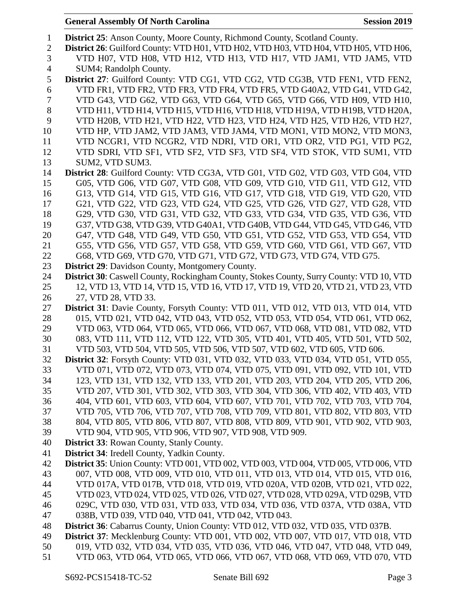| $\mathbf{1}$   | <b>District 25:</b> Anson County, Moore County, Richmond County, Scotland County.          |
|----------------|--------------------------------------------------------------------------------------------|
| $\overline{2}$ | District 26: Guilford County: VTD H01, VTD H02, VTD H03, VTD H04, VTD H05, VTD H06,        |
| 3              | VTD H07, VTD H08, VTD H12, VTD H13, VTD H17, VTD JAM1, VTD JAM5, VTD                       |
| $\overline{4}$ | SUM4; Randolph County.                                                                     |
| 5              | District 27: Guilford County: VTD CG1, VTD CG2, VTD CG3B, VTD FEN1, VTD FEN2,              |
| 6              | VTD FR1, VTD FR2, VTD FR3, VTD FR4, VTD FR5, VTD G40A2, VTD G41, VTD G42,                  |
| 7              | VTD G43, VTD G62, VTD G63, VTD G64, VTD G65, VTD G66, VTD H09, VTD H10,                    |
| 8              | VTD H11, VTD H14, VTD H15, VTD H16, VTD H18, VTD H19A, VTD H19B, VTD H20A,                 |
| 9              | VTD H20B, VTD H21, VTD H22, VTD H23, VTD H24, VTD H25, VTD H26, VTD H27,                   |
| 10             | VTD HP, VTD JAM2, VTD JAM3, VTD JAM4, VTD MON1, VTD MON2, VTD MON3,                        |
| 11             | VTD NCGR1, VTD NCGR2, VTD NDRI, VTD OR1, VTD OR2, VTD PG1, VTD PG2,                        |
| 12             | VTD SDRI, VTD SF1, VTD SF2, VTD SF3, VTD SF4, VTD STOK, VTD SUM1, VTD                      |
| 13             | SUM2, VTD SUM3.                                                                            |
| 14             | District 28: Guilford County: VTD CG3A, VTD G01, VTD G02, VTD G03, VTD G04, VTD            |
| 15             | G05, VTD G06, VTD G07, VTD G08, VTD G09, VTD G10, VTD G11, VTD G12, VTD                    |
| 16             | G13, VTD G14, VTD G15, VTD G16, VTD G17, VTD G18, VTD G19, VTD G20, VTD                    |
| 17             | G21, VTD G22, VTD G23, VTD G24, VTD G25, VTD G26, VTD G27, VTD G28, VTD                    |
| 18             | G29, VTD G30, VTD G31, VTD G32, VTD G33, VTD G34, VTD G35, VTD G36, VTD                    |
| 19             | G37, VTD G38, VTD G39, VTD G40A1, VTD G40B, VTD G44, VTD G45, VTD G46, VTD                 |
| 20             | G47, VTD G48, VTD G49, VTD G50, VTD G51, VTD G52, VTD G53, VTD G54, VTD                    |
| 21             | G55, VTD G56, VTD G57, VTD G58, VTD G59, VTD G60, VTD G61, VTD G67, VTD                    |
| 22             | G68, VTD G69, VTD G70, VTD G71, VTD G72, VTD G73, VTD G74, VTD G75.                        |
| 23             | <b>District 29:</b> Davidson County, Montgomery County.                                    |
| 24             | District 30: Caswell County, Rockingham County, Stokes County, Surry County: VTD 10, VTD   |
| 25             | 12, VTD 13, VTD 14, VTD 15, VTD 16, VTD 17, VTD 19, VTD 20, VTD 21, VTD 23, VTD            |
| 26             | 27, VTD 28, VTD 33.                                                                        |
| 27             | District 31: Davie County, Forsyth County: VTD 011, VTD 012, VTD 013, VTD 014, VTD         |
| 28             | 015, VTD 021, VTD 042, VTD 043, VTD 052, VTD 053, VTD 054, VTD 061, VTD 062,               |
| 29             | VTD 063, VTD 064, VTD 065, VTD 066, VTD 067, VTD 068, VTD 081, VTD 082, VTD                |
| 30             | 083, VTD 111, VTD 112, VTD 122, VTD 305, VTD 401, VTD 405, VTD 501, VTD 502,               |
| 31             | VTD 503, VTD 504, VTD 505, VTD 506, VTD 507, VTD 602, VTD 605, VTD 606.                    |
| 32             | <b>District 32</b> : Forsyth County: VTD 031, VTD 032, VTD 033, VTD 034, VTD 051, VTD 055, |
| 33             | VTD 071, VTD 072, VTD 073, VTD 074, VTD 075, VTD 091, VTD 092, VTD 101, VTD                |
| 34             | 123, VTD 131, VTD 132, VTD 133, VTD 201, VTD 203, VTD 204, VTD 205, VTD 206,               |
| 35             | VTD 207, VTD 301, VTD 302, VTD 303, VTD 304, VTD 306, VTD 402, VTD 403, VTD                |
| 36             | 404, VTD 601, VTD 603, VTD 604, VTD 607, VTD 701, VTD 702, VTD 703, VTD 704,               |
| 37             | VTD 705, VTD 706, VTD 707, VTD 708, VTD 709, VTD 801, VTD 802, VTD 803, VTD                |
| 38             | 804, VTD 805, VTD 806, VTD 807, VTD 808, VTD 809, VTD 901, VTD 902, VTD 903,               |
| 39             | VTD 904, VTD 905, VTD 906, VTD 907, VTD 908, VTD 909.                                      |
| 40             | <b>District 33: Rowan County, Stanly County.</b>                                           |
| 41             | District 34: Iredell County, Yadkin County.                                                |
| 42             | District 35: Union County: VTD 001, VTD 002, VTD 003, VTD 004, VTD 005, VTD 006, VTD       |
| 43             | 007, VTD 008, VTD 009, VTD 010, VTD 011, VTD 013, VTD 014, VTD 015, VTD 016,               |
| 44             | VTD 017A, VTD 017B, VTD 018, VTD 019, VTD 020A, VTD 020B, VTD 021, VTD 022,                |
| 45             | VTD 023, VTD 024, VTD 025, VTD 026, VTD 027, VTD 028, VTD 029A, VTD 029B, VTD              |
| 46             | 029C, VTD 030, VTD 031, VTD 033, VTD 034, VTD 036, VTD 037A, VTD 038A, VTD                 |
| 47             | 038B, VTD 039, VTD 040, VTD 041, VTD 042, VTD 043.                                         |
| 48             | District 36: Cabarrus County, Union County: VTD 012, VTD 032, VTD 035, VTD 037B.           |
| 49             | District 37: Mecklenburg County: VTD 001, VTD 002, VTD 007, VTD 017, VTD 018, VTD          |
| 50             | 019, VTD 032, VTD 034, VTD 035, VTD 036, VTD 046, VTD 047, VTD 048, VTD 049,               |
| 51             | VTD 063, VTD 064, VTD 065, VTD 066, VTD 067, VTD 068, VTD 069, VTD 070, VTD                |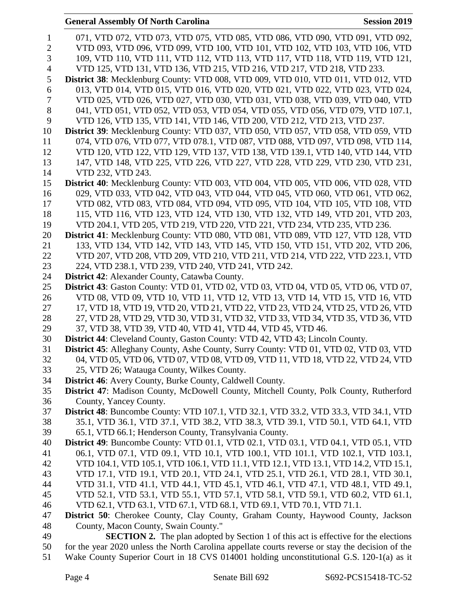|                | <b>General Assembly Of North Carolina</b><br><b>Session 2019</b>                                                      |
|----------------|-----------------------------------------------------------------------------------------------------------------------|
| $\mathbf{1}$   | 071, VTD 072, VTD 073, VTD 075, VTD 085, VTD 086, VTD 090, VTD 091, VTD 092,                                          |
| $\mathbf{2}$   | VTD 093, VTD 096, VTD 099, VTD 100, VTD 101, VTD 102, VTD 103, VTD 106, VTD                                           |
| 3              | 109, VTD 110, VTD 111, VTD 112, VTD 113, VTD 117, VTD 118, VTD 119, VTD 121,                                          |
| $\overline{4}$ | VTD 125, VTD 131, VTD 136, VTD 215, VTD 216, VTD 217, VTD 218, VTD 233.                                               |
| 5              | District 38: Mecklenburg County: VTD 008, VTD 009, VTD 010, VTD 011, VTD 012, VTD                                     |
| 6              | 013, VTD 014, VTD 015, VTD 016, VTD 020, VTD 021, VTD 022, VTD 023, VTD 024,                                          |
| 7              | VTD 025, VTD 026, VTD 027, VTD 030, VTD 031, VTD 038, VTD 039, VTD 040, VTD                                           |
| 8              | 041, VTD 051, VTD 052, VTD 053, VTD 054, VTD 055, VTD 056, VTD 079, VTD 107.1,                                        |
| 9              | VTD 126, VTD 135, VTD 141, VTD 146, VTD 200, VTD 212, VTD 213, VTD 237.                                               |
| 10             | District 39: Mecklenburg County: VTD 037, VTD 050, VTD 057, VTD 058, VTD 059, VTD                                     |
| 11             | 074, VTD 076, VTD 077, VTD 078.1, VTD 087, VTD 088, VTD 097, VTD 098, VTD 114,                                        |
| 12             | VTD 120, VTD 122, VTD 129, VTD 137, VTD 138, VTD 139.1, VTD 140, VTD 144, VTD                                         |
| 13             | 147, VTD 148, VTD 225, VTD 226, VTD 227, VTD 228, VTD 229, VTD 230, VTD 231,                                          |
| 14             | VTD 232, VTD 243.                                                                                                     |
| 15             | District 40: Mecklenburg County: VTD 003, VTD 004, VTD 005, VTD 006, VTD 028, VTD                                     |
| 16             | 029, VTD 033, VTD 042, VTD 043, VTD 044, VTD 045, VTD 060, VTD 061, VTD 062,                                          |
| 17             | VTD 082, VTD 083, VTD 084, VTD 094, VTD 095, VTD 104, VTD 105, VTD 108, VTD                                           |
| 18             | 115, VTD 116, VTD 123, VTD 124, VTD 130, VTD 132, VTD 149, VTD 201, VTD 203,                                          |
| 19             | VTD 204.1, VTD 205, VTD 219, VTD 220, VTD 221, VTD 234, VTD 235, VTD 236.                                             |
| 20             | District 41: Mecklenburg County: VTD 080, VTD 081, VTD 089, VTD 127, VTD 128, VTD                                     |
| 21             | 133, VTD 134, VTD 142, VTD 143, VTD 145, VTD 150, VTD 151, VTD 202, VTD 206,                                          |
| 22             | VTD 207, VTD 208, VTD 209, VTD 210, VTD 211, VTD 214, VTD 222, VTD 223.1, VTD                                         |
| 23             | 224, VTD 238.1, VTD 239, VTD 240, VTD 241, VTD 242.                                                                   |
| 24             | <b>District 42:</b> Alexander County, Catawba County.                                                                 |
| 25             | <b>District 43:</b> Gaston County: VTD 01, VTD 02, VTD 03, VTD 04, VTD 05, VTD 06, VTD 07,                            |
| 26             | VTD 08, VTD 09, VTD 10, VTD 11, VTD 12, VTD 13, VTD 14, VTD 15, VTD 16, VTD                                           |
| 27             | 17, VTD 18, VTD 19, VTD 20, VTD 21, VTD 22, VTD 23, VTD 24, VTD 25, VTD 26, VTD                                       |
| 28             | 27, VTD 28, VTD 29, VTD 30, VTD 31, VTD 32, VTD 33, VTD 34, VTD 35, VTD 36, VTD                                       |
| 29             | 37, VTD 38, VTD 39, VTD 40, VTD 41, VTD 44, VTD 45, VTD 46.                                                           |
| 30             | District 44: Cleveland County, Gaston County: VTD 42, VTD 43; Lincoln County.                                         |
| 31             | District 45: Alleghany County, Ashe County, Surry County: VTD 01, VTD 02, VTD 03, VTD                                 |
| 32             | 04, VTD 05, VTD 06, VTD 07, VTD 08, VTD 09, VTD 11, VTD 18, VTD 22, VTD 24, VTD                                       |
| 33             | 25, VTD 26; Watauga County, Wilkes County.                                                                            |
| 34             | District 46: Avery County, Burke County, Caldwell County.                                                             |
| 35             | District 47: Madison County, McDowell County, Mitchell County, Polk County, Rutherford                                |
| 36<br>37       | County, Yancey County.<br><b>District 48:</b> Buncombe County: VTD 107.1, VTD 32.1, VTD 33.2, VTD 33.3, VTD 34.1, VTD |
| 38             | 35.1, VTD 36.1, VTD 37.1, VTD 38.2, VTD 38.3, VTD 39.1, VTD 50.1, VTD 64.1, VTD                                       |
| 39             | 65.1, VTD 66.1; Henderson County, Transylvania County.                                                                |
| 40             | <b>District 49:</b> Buncombe County: VTD 01.1, VTD 02.1, VTD 03.1, VTD 04.1, VTD 05.1, VTD                            |
| 41             | 06.1, VTD 07.1, VTD 09.1, VTD 10.1, VTD 100.1, VTD 101.1, VTD 102.1, VTD 103.1,                                       |
| 42             | VTD 104.1, VTD 105.1, VTD 106.1, VTD 11.1, VTD 12.1, VTD 13.1, VTD 14.2, VTD 15.1,                                    |
| 43             | VTD 17.1, VTD 19.1, VTD 20.1, VTD 24.1, VTD 25.1, VTD 26.1, VTD 28.1, VTD 30.1,                                       |
| 44             | VTD 31.1, VTD 41.1, VTD 44.1, VTD 45.1, VTD 46.1, VTD 47.1, VTD 48.1, VTD 49.1,                                       |
| 45             | VTD 52.1, VTD 53.1, VTD 55.1, VTD 57.1, VTD 58.1, VTD 59.1, VTD 60.2, VTD 61.1,                                       |
| 46             | VTD 62.1, VTD 63.1, VTD 67.1, VTD 68.1, VTD 69.1, VTD 70.1, VTD 71.1.                                                 |
| 47             | <b>District 50:</b> Cherokee County, Clay County, Graham County, Haywood County, Jackson                              |
| 48             | County, Macon County, Swain County."                                                                                  |
| 49             | <b>SECTION 2.</b> The plan adopted by Section 1 of this act is effective for the elections                            |
| 50             | for the year 2020 unless the North Carolina appellate courts reverse or stay the decision of the                      |
| 51             | Wake County Superior Court in 18 CVS 014001 holding unconstitutional G.S. 120-1(a) as it                              |